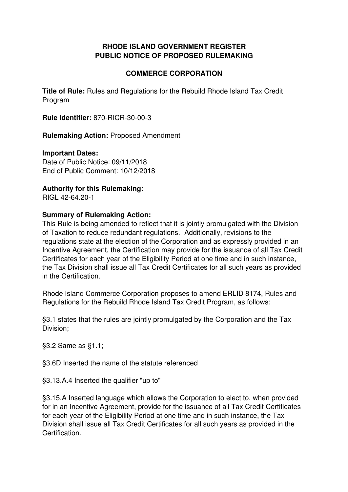### **RHODE ISLAND GOVERNMENT REGISTER PUBLIC NOTICE OF PROPOSED RULEMAKING**

### **COMMERCE CORPORATION**

**Title of Rule:** Rules and Regulations for the Rebuild Rhode Island Tax Credit Program

**Rule Identifier:** 870-RICR-30-00-3

**Rulemaking Action:** Proposed Amendment

#### **Important Dates:**

Date of Public Notice: 09/11/2018 End of Public Comment: 10/12/2018

### **Authority for this Rulemaking:**

RIGL 42-64.20-1

#### **Summary of Rulemaking Action:**

This Rule is being amended to reflect that it is jointly promulgated with the Division of Taxation to reduce redundant regulations. Additionally, revisions to the regulations state at the election of the Corporation and as expressly provided in an Incentive Agreement, the Certification may provide for the issuance of all Tax Credit Certificates for each year of the Eligibility Period at one time and in such instance, the Tax Division shall issue all Tax Credit Certificates for all such years as provided in the Certification.

Rhode Island Commerce Corporation proposes to amend ERLID 8174, Rules and Regulations for the Rebuild Rhode Island Tax Credit Program, as follows:

§3.1 states that the rules are jointly promulgated by the Corporation and the Tax Division;

§3.2 Same as §1.1;

§3.6D Inserted the name of the statute referenced

§3.13.A.4 Inserted the qualifier "up to"

§3.15.A Inserted language which allows the Corporation to elect to, when provided for in an Incentive Agreement, provide for the issuance of all Tax Credit Certificates for each year of the Eligibility Period at one time and in such instance, the Tax Division shall issue all Tax Credit Certificates for all such years as provided in the Certification.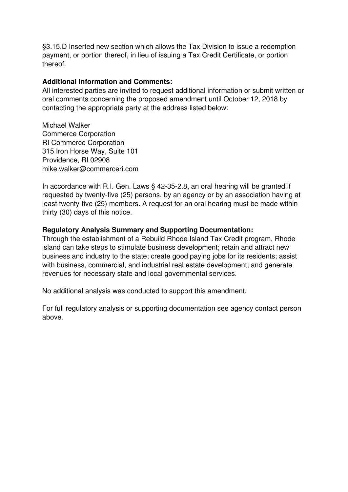§3.15.D Inserted new section which allows the Tax Division to issue a redemption payment, or portion thereof, in lieu of issuing a Tax Credit Certificate, or portion thereof.

#### **Additional Information and Comments:**

All interested parties are invited to request additional information or submit written or oral comments concerning the proposed amendment until October 12, 2018 by contacting the appropriate party at the address listed below:

Michael Walker Commerce Corporation RI Commerce Corporation 315 Iron Horse Way, Suite 101 Providence, RI 02908 mike.walker@commerceri.com

In accordance with R.I. Gen. Laws § 42-35-2.8, an oral hearing will be granted if requested by twenty-five (25) persons, by an agency or by an association having at least twenty-five (25) members. A request for an oral hearing must be made within thirty (30) days of this notice.

#### **Regulatory Analysis Summary and Supporting Documentation:**

Through the establishment of a Rebuild Rhode Island Tax Credit program, Rhode island can take steps to stimulate business development; retain and attract new business and industry to the state; create good paying jobs for its residents; assist with business, commercial, and industrial real estate development; and generate revenues for necessary state and local governmental services.

No additional analysis was conducted to support this amendment.

For full regulatory analysis or supporting documentation see agency contact person above.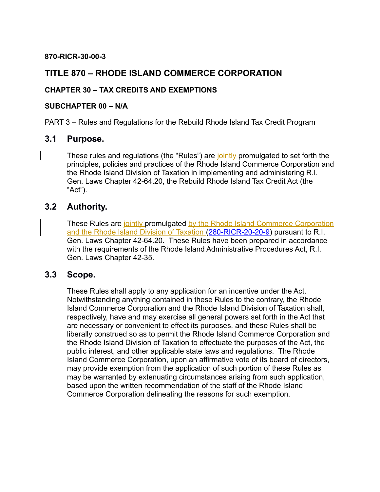#### **870-RICR-30-00-3**

## **TITLE 870 – RHODE ISLAND COMMERCE CORPORATION**

### **CHAPTER 30 – TAX CREDITS AND EXEMPTIONS**

#### **SUBCHAPTER 00 – N/A**

PART 3 – Rules and Regulations for the Rebuild Rhode Island Tax Credit Program

## **3.1 Purpose.**

These rules and regulations (the "Rules") are jointly promulgated to set forth the principles, policies and practices of the Rhode Island Commerce Corporation and the Rhode Island Division of Taxation in implementing and administering R.I. Gen. Laws Chapter 42-64.20, the Rebuild Rhode Island Tax Credit Act (the "Act").

## **3.2 Authority.**

These Rules are jointly promulgated by the Rhode Island Commerce Corporation and the Rhode Island Division of Taxation [\(280-RICR-20-20-9\)](https://rules.sos.ri.gov/regulations/part/280-20-20-9) pursuant to R.I. Gen. Laws Chapter 42-64.20. These Rules have been prepared in accordance with the requirements of the Rhode Island Administrative Procedures Act, R.I. Gen. Laws Chapter 42-35.

### **3.3 Scope.**

These Rules shall apply to any application for an incentive under the Act. Notwithstanding anything contained in these Rules to the contrary, the Rhode Island Commerce Corporation and the Rhode Island Division of Taxation shall, respectively, have and may exercise all general powers set forth in the Act that are necessary or convenient to effect its purposes, and these Rules shall be liberally construed so as to permit the Rhode Island Commerce Corporation and the Rhode Island Division of Taxation to effectuate the purposes of the Act, the public interest, and other applicable state laws and regulations. The Rhode Island Commerce Corporation, upon an affirmative vote of its board of directors, may provide exemption from the application of such portion of these Rules as may be warranted by extenuating circumstances arising from such application, based upon the written recommendation of the staff of the Rhode Island Commerce Corporation delineating the reasons for such exemption.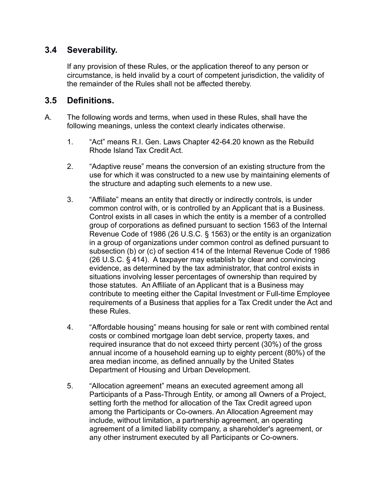## **3.4 Severability.**

If any provision of these Rules, or the application thereof to any person or circumstance, is held invalid by a court of competent jurisdiction, the validity of the remainder of the Rules shall not be affected thereby.

## **3.5 Definitions.**

- A. The following words and terms, when used in these Rules, shall have the following meanings, unless the context clearly indicates otherwise.
	- 1. "Act" means R.I. Gen. Laws Chapter 42-64.20 known as the Rebuild Rhode Island Tax Credit Act.
	- 2. "Adaptive reuse" means the conversion of an existing structure from the use for which it was constructed to a new use by maintaining elements of the structure and adapting such elements to a new use.
	- 3. "Affiliate" means an entity that directly or indirectly controls, is under common control with, or is controlled by an Applicant that is a Business. Control exists in all cases in which the entity is a member of a controlled group of corporations as defined pursuant to section 1563 of the Internal Revenue Code of 1986 (26 U.S.C. § 1563) or the entity is an organization in a group of organizations under common control as defined pursuant to subsection (b) or (c) of section 414 of the Internal Revenue Code of 1986 (26 U.S.C. § 414). A taxpayer may establish by clear and convincing evidence, as determined by the tax administrator, that control exists in situations involving lesser percentages of ownership than required by those statutes. An Affiliate of an Applicant that is a Business may contribute to meeting either the Capital Investment or Full-time Employee requirements of a Business that applies for a Tax Credit under the Act and these Rules.
	- 4. "Affordable housing" means housing for sale or rent with combined rental costs or combined mortgage loan debt service, property taxes, and required insurance that do not exceed thirty percent (30%) of the gross annual income of a household earning up to eighty percent (80%) of the area median income, as defined annually by the United States Department of Housing and Urban Development.
	- 5. "Allocation agreement" means an executed agreement among all Participants of a Pass-Through Entity, or among all Owners of a Project, setting forth the method for allocation of the Tax Credit agreed upon among the Participants or Co-owners. An Allocation Agreement may include, without limitation, a partnership agreement, an operating agreement of a limited liability company, a shareholder's agreement, or any other instrument executed by all Participants or Co-owners.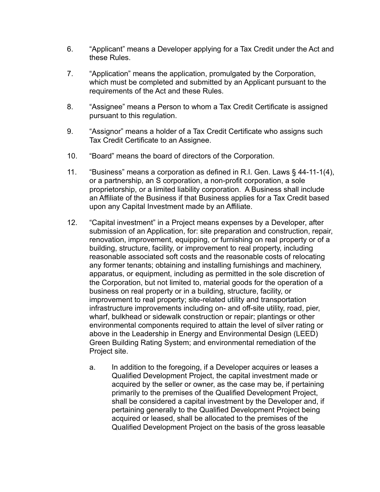- 6. "Applicant" means a Developer applying for a Tax Credit under the Act and these Rules.
- 7. "Application" means the application, promulgated by the Corporation, which must be completed and submitted by an Applicant pursuant to the requirements of the Act and these Rules.
- 8. "Assignee" means a Person to whom a Tax Credit Certificate is assigned pursuant to this regulation.
- 9. "Assignor" means a holder of a Tax Credit Certificate who assigns such Tax Credit Certificate to an Assignee.
- 10. "Board" means the board of directors of the Corporation.
- 11. "Business" means a corporation as defined in R.I. Gen. Laws § 44-11-1(4), or a partnership, an S corporation, a non-profit corporation, a sole proprietorship, or a limited liability corporation. A Business shall include an Affiliate of the Business if that Business applies for a Tax Credit based upon any Capital Investment made by an Affiliate.
- 12. "Capital investment" in a Project means expenses by a Developer, after submission of an Application, for: site preparation and construction, repair, renovation, improvement, equipping, or furnishing on real property or of a building, structure, facility, or improvement to real property, including reasonable associated soft costs and the reasonable costs of relocating any former tenants; obtaining and installing furnishings and machinery, apparatus, or equipment, including as permitted in the sole discretion of the Corporation, but not limited to, material goods for the operation of a business on real property or in a building, structure, facility, or improvement to real property; site-related utility and transportation infrastructure improvements including on- and off-site utility, road, pier, wharf, bulkhead or sidewalk construction or repair; plantings or other environmental components required to attain the level of silver rating or above in the Leadership in Energy and Environmental Design (LEED) Green Building Rating System; and environmental remediation of the Project site.
	- a. In addition to the foregoing, if a Developer acquires or leases a Qualified Development Project, the capital investment made or acquired by the seller or owner, as the case may be, if pertaining primarily to the premises of the Qualified Development Project, shall be considered a capital investment by the Developer and, if pertaining generally to the Qualified Development Project being acquired or leased, shall be allocated to the premises of the Qualified Development Project on the basis of the gross leasable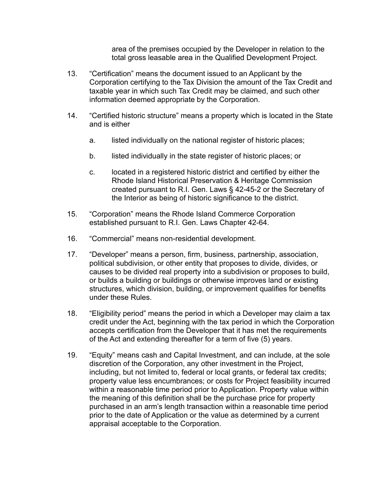area of the premises occupied by the Developer in relation to the total gross leasable area in the Qualified Development Project.

- 13. "Certification" means the document issued to an Applicant by the Corporation certifying to the Tax Division the amount of the Tax Credit and taxable year in which such Tax Credit may be claimed, and such other information deemed appropriate by the Corporation.
- 14. "Certified historic structure" means a property which is located in the State and is either
	- a. listed individually on the national register of historic places;
	- b. listed individually in the state register of historic places; or
	- c. located in a registered historic district and certified by either the Rhode Island Historical Preservation & Heritage Commission created pursuant to R.I. Gen. Laws § 42-45-2 or the Secretary of the Interior as being of historic significance to the district.
- 15. "Corporation" means the Rhode Island Commerce Corporation established pursuant to R.I. Gen. Laws Chapter 42-64.
- 16. "Commercial" means non-residential development.
- 17. "Developer" means a person, firm, business, partnership, association, political subdivision, or other entity that proposes to divide, divides, or causes to be divided real property into a subdivision or proposes to build, or builds a building or buildings or otherwise improves land or existing structures, which division, building, or improvement qualifies for benefits under these Rules.
- 18. "Eligibility period" means the period in which a Developer may claim a tax credit under the Act, beginning with the tax period in which the Corporation accepts certification from the Developer that it has met the requirements of the Act and extending thereafter for a term of five (5) years.
- 19. "Equity" means cash and Capital Investment, and can include, at the sole discretion of the Corporation, any other investment in the Project, including, but not limited to, federal or local grants, or federal tax credits; property value less encumbrances; or costs for Project feasibility incurred within a reasonable time period prior to Application. Property value within the meaning of this definition shall be the purchase price for property purchased in an arm's length transaction within a reasonable time period prior to the date of Application or the value as determined by a current appraisal acceptable to the Corporation.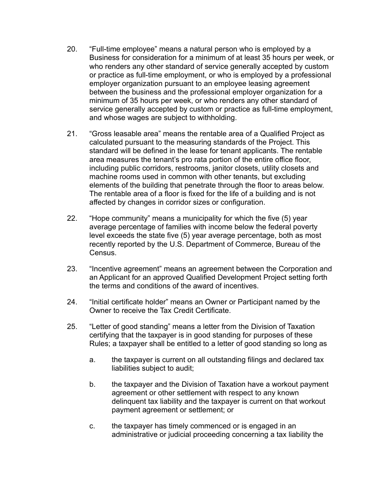- 20. "Full-time employee" means a natural person who is employed by a Business for consideration for a minimum of at least 35 hours per week, or who renders any other standard of service generally accepted by custom or practice as full-time employment, or who is employed by a professional employer organization pursuant to an employee leasing agreement between the business and the professional employer organization for a minimum of 35 hours per week, or who renders any other standard of service generally accepted by custom or practice as full-time employment, and whose wages are subject to withholding.
- 21. "Gross leasable area" means the rentable area of a Qualified Project as calculated pursuant to the measuring standards of the Project. This standard will be defined in the lease for tenant applicants. The rentable area measures the tenant's pro rata portion of the entire office floor, including public corridors, restrooms, janitor closets, utility closets and machine rooms used in common with other tenants, but excluding elements of the building that penetrate through the floor to areas below. The rentable area of a floor is fixed for the life of a building and is not affected by changes in corridor sizes or configuration.
- 22. "Hope community" means a municipality for which the five (5) year average percentage of families with income below the federal poverty level exceeds the state five (5) year average percentage, both as most recently reported by the U.S. Department of Commerce, Bureau of the Census.
- 23. "Incentive agreement" means an agreement between the Corporation and an Applicant for an approved Qualified Development Project setting forth the terms and conditions of the award of incentives.
- 24. "Initial certificate holder" means an Owner or Participant named by the Owner to receive the Tax Credit Certificate.
- 25. "Letter of good standing" means a letter from the Division of Taxation certifying that the taxpayer is in good standing for purposes of these Rules; a taxpayer shall be entitled to a letter of good standing so long as
	- a. the taxpayer is current on all outstanding filings and declared tax liabilities subject to audit;
	- b. the taxpayer and the Division of Taxation have a workout payment agreement or other settlement with respect to any known delinquent tax liability and the taxpayer is current on that workout payment agreement or settlement; or
	- c. the taxpayer has timely commenced or is engaged in an administrative or judicial proceeding concerning a tax liability the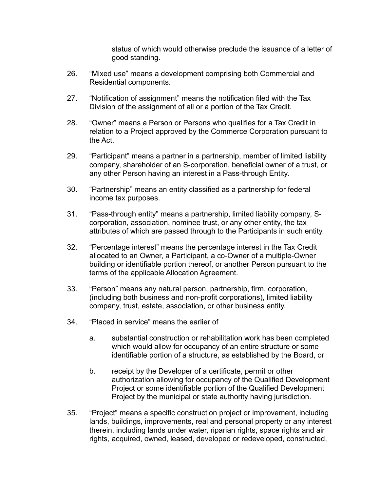status of which would otherwise preclude the issuance of a letter of good standing.

- 26. "Mixed use" means a development comprising both Commercial and Residential components.
- 27. "Notification of assignment" means the notification filed with the Tax Division of the assignment of all or a portion of the Tax Credit.
- 28. "Owner" means a Person or Persons who qualifies for a Tax Credit in relation to a Project approved by the Commerce Corporation pursuant to the Act.
- 29. "Participant" means a partner in a partnership, member of limited liability company, shareholder of an S-corporation, beneficial owner of a trust, or any other Person having an interest in a Pass-through Entity.
- 30. "Partnership" means an entity classified as a partnership for federal income tax purposes.
- 31. "Pass-through entity" means a partnership, limited liability company, Scorporation, association, nominee trust, or any other entity, the tax attributes of which are passed through to the Participants in such entity.
- 32. "Percentage interest" means the percentage interest in the Tax Credit allocated to an Owner, a Participant, a co-Owner of a multiple-Owner building or identifiable portion thereof, or another Person pursuant to the terms of the applicable Allocation Agreement.
- 33. "Person" means any natural person, partnership, firm, corporation, (including both business and non-profit corporations), limited liability company, trust, estate, association, or other business entity.
- 34. "Placed in service" means the earlier of
	- a. substantial construction or rehabilitation work has been completed which would allow for occupancy of an entire structure or some identifiable portion of a structure, as established by the Board, or
	- b. receipt by the Developer of a certificate, permit or other authorization allowing for occupancy of the Qualified Development Project or some identifiable portion of the Qualified Development Project by the municipal or state authority having jurisdiction.
- 35. "Project" means a specific construction project or improvement, including lands, buildings, improvements, real and personal property or any interest therein, including lands under water, riparian rights, space rights and air rights, acquired, owned, leased, developed or redeveloped, constructed,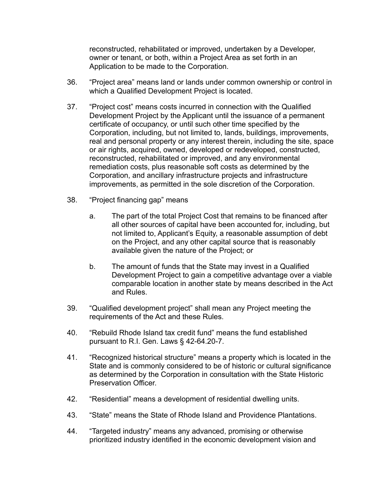reconstructed, rehabilitated or improved, undertaken by a Developer, owner or tenant, or both, within a Project Area as set forth in an Application to be made to the Corporation.

- 36. "Project area" means land or lands under common ownership or control in which a Qualified Development Project is located.
- 37. "Project cost" means costs incurred in connection with the Qualified Development Project by the Applicant until the issuance of a permanent certificate of occupancy, or until such other time specified by the Corporation, including, but not limited to, lands, buildings, improvements, real and personal property or any interest therein, including the site, space or air rights, acquired, owned, developed or redeveloped, constructed, reconstructed, rehabilitated or improved, and any environmental remediation costs, plus reasonable soft costs as determined by the Corporation, and ancillary infrastructure projects and infrastructure improvements, as permitted in the sole discretion of the Corporation.
- 38. "Project financing gap" means
	- a. The part of the total Project Cost that remains to be financed after all other sources of capital have been accounted for, including, but not limited to, Applicant's Equity, a reasonable assumption of debt on the Project, and any other capital source that is reasonably available given the nature of the Project; or
	- b. The amount of funds that the State may invest in a Qualified Development Project to gain a competitive advantage over a viable comparable location in another state by means described in the Act and Rules.
- 39. "Qualified development project" shall mean any Project meeting the requirements of the Act and these Rules.
- 40. "Rebuild Rhode Island tax credit fund" means the fund established pursuant to R.I. Gen. Laws § 42-64.20-7.
- 41. "Recognized historical structure" means a property which is located in the State and is commonly considered to be of historic or cultural significance as determined by the Corporation in consultation with the State Historic Preservation Officer.
- 42. "Residential" means a development of residential dwelling units.
- 43. "State" means the State of Rhode Island and Providence Plantations.
- 44. "Targeted industry" means any advanced, promising or otherwise prioritized industry identified in the economic development vision and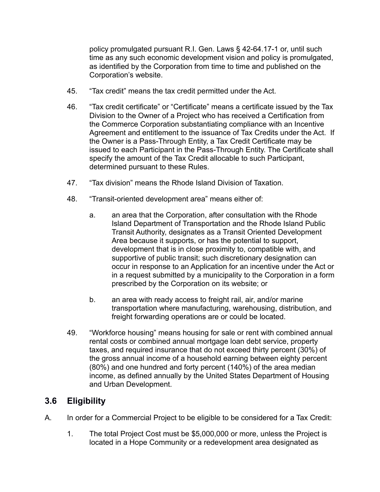policy promulgated pursuant R.I. Gen. Laws § 42-64.17-1 or, until such time as any such economic development vision and policy is promulgated, as identified by the Corporation from time to time and published on the Corporation's website.

- 45. "Tax credit" means the tax credit permitted under the Act.
- 46. "Tax credit certificate" or "Certificate" means a certificate issued by the Tax Division to the Owner of a Project who has received a Certification from the Commerce Corporation substantiating compliance with an Incentive Agreement and entitlement to the issuance of Tax Credits under the Act. If the Owner is a Pass-Through Entity, a Tax Credit Certificate may be issued to each Participant in the Pass-Through Entity. The Certificate shall specify the amount of the Tax Credit allocable to such Participant, determined pursuant to these Rules.
- 47. "Tax division" means the Rhode Island Division of Taxation.
- 48. "Transit-oriented development area" means either of:
	- a. an area that the Corporation, after consultation with the Rhode Island Department of Transportation and the Rhode Island Public Transit Authority, designates as a Transit Oriented Development Area because it supports, or has the potential to support, development that is in close proximity to, compatible with, and supportive of public transit; such discretionary designation can occur in response to an Application for an incentive under the Act or in a request submitted by a municipality to the Corporation in a form prescribed by the Corporation on its website; or
	- b. an area with ready access to freight rail, air, and/or marine transportation where manufacturing, warehousing, distribution, and freight forwarding operations are or could be located.
- 49. "Workforce housing" means housing for sale or rent with combined annual rental costs or combined annual mortgage loan debt service, property taxes, and required insurance that do not exceed thirty percent (30%) of the gross annual income of a household earning between eighty percent (80%) and one hundred and forty percent (140%) of the area median income, as defined annually by the United States Department of Housing and Urban Development.

# **3.6 Eligibility**

- A. In order for a Commercial Project to be eligible to be considered for a Tax Credit:
	- 1. The total Project Cost must be \$5,000,000 or more, unless the Project is located in a Hope Community or a redevelopment area designated as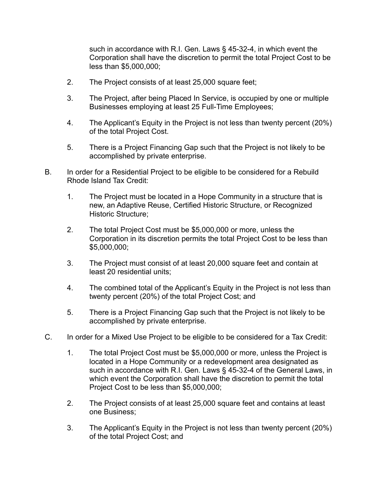such in accordance with R.I. Gen. Laws § 45-32-4, in which event the Corporation shall have the discretion to permit the total Project Cost to be less than \$5,000,000;

- 2. The Project consists of at least 25,000 square feet;
- 3. The Project, after being Placed In Service, is occupied by one or multiple Businesses employing at least 25 Full-Time Employees;
- 4. The Applicant's Equity in the Project is not less than twenty percent (20%) of the total Project Cost.
- 5. There is a Project Financing Gap such that the Project is not likely to be accomplished by private enterprise.
- B. In order for a Residential Project to be eligible to be considered for a Rebuild Rhode Island Tax Credit:
	- 1. The Project must be located in a Hope Community in a structure that is new, an Adaptive Reuse, Certified Historic Structure, or Recognized Historic Structure;
	- 2. The total Project Cost must be \$5,000,000 or more, unless the Corporation in its discretion permits the total Project Cost to be less than \$5,000,000;
	- 3. The Project must consist of at least 20,000 square feet and contain at least 20 residential units;
	- 4. The combined total of the Applicant's Equity in the Project is not less than twenty percent (20%) of the total Project Cost; and
	- 5. There is a Project Financing Gap such that the Project is not likely to be accomplished by private enterprise.
- C. In order for a Mixed Use Project to be eligible to be considered for a Tax Credit:
	- 1. The total Project Cost must be \$5,000,000 or more, unless the Project is located in a Hope Community or a redevelopment area designated as such in accordance with R.I. Gen. Laws § 45-32-4 of the General Laws, in which event the Corporation shall have the discretion to permit the total Project Cost to be less than \$5,000,000;
	- 2. The Project consists of at least 25,000 square feet and contains at least one Business;
	- 3. The Applicant's Equity in the Project is not less than twenty percent (20%) of the total Project Cost; and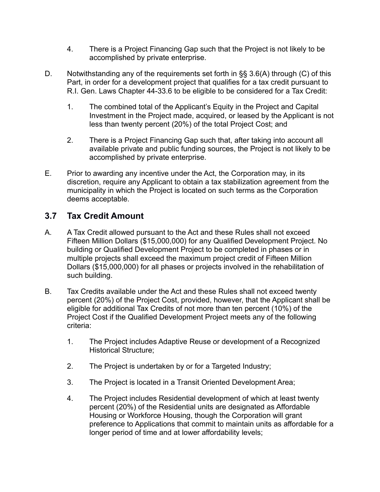- 4. There is a Project Financing Gap such that the Project is not likely to be accomplished by private enterprise.
- D. Notwithstanding any of the requirements set forth in §§ 3.6(A) through (C) of this Part, in order for a development project that qualifies for a tax credit pursuant to R.I. Gen. Laws Chapter 44-33.6 to be eligible to be considered for a Tax Credit:
	- 1. The combined total of the Applicant's Equity in the Project and Capital Investment in the Project made, acquired, or leased by the Applicant is not less than twenty percent (20%) of the total Project Cost; and
	- 2. There is a Project Financing Gap such that, after taking into account all available private and public funding sources, the Project is not likely to be accomplished by private enterprise.
- E. Prior to awarding any incentive under the Act, the Corporation may, in its discretion, require any Applicant to obtain a tax stabilization agreement from the municipality in which the Project is located on such terms as the Corporation deems acceptable.

# **3.7 Tax Credit Amount**

- A. A Tax Credit allowed pursuant to the Act and these Rules shall not exceed Fifteen Million Dollars (\$15,000,000) for any Qualified Development Project. No building or Qualified Development Project to be completed in phases or in multiple projects shall exceed the maximum project credit of Fifteen Million Dollars (\$15,000,000) for all phases or projects involved in the rehabilitation of such building.
- B. Tax Credits available under the Act and these Rules shall not exceed twenty percent (20%) of the Project Cost, provided, however, that the Applicant shall be eligible for additional Tax Credits of not more than ten percent (10%) of the Project Cost if the Qualified Development Project meets any of the following criteria:
	- 1. The Project includes Adaptive Reuse or development of a Recognized Historical Structure;
	- 2. The Project is undertaken by or for a Targeted Industry;
	- 3. The Project is located in a Transit Oriented Development Area;
	- 4. The Project includes Residential development of which at least twenty percent (20%) of the Residential units are designated as Affordable Housing or Workforce Housing, though the Corporation will grant preference to Applications that commit to maintain units as affordable for a longer period of time and at lower affordability levels;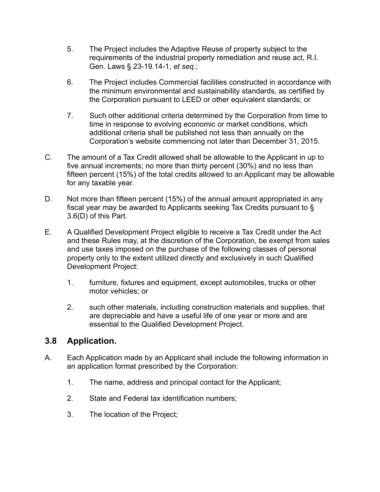- 5. The Project includes the Adaptive Reuse of property subject to the requirements of the industrial property remediation and reuse act, R.I. Gen. Laws § 23-19.14-1, *et seq*.;
- 6. The Project includes Commercial facilities constructed in accordance with the minimum environmental and sustainability standards, as certified by the Corporation pursuant to LEED or other equivalent standards; or
- 7. Such other additional criteria determined by the Corporation from time to time in response to evolving economic or market conditions, which additional criteria shall be published not less than annually on the Corporation's website commencing not later than December 31, 2015.
- C. The amount of a Tax Credit allowed shall be allowable to the Applicant in up to five annual increments; no more than thirty percent (30%) and no less than fifteen percent (15%) of the total credits allowed to an Applicant may be allowable for any taxable year.
- D. Not more than fifteen percent (15%) of the annual amount appropriated in any fiscal year may be awarded to Applicants seeking Tax Credits pursuant to § 3.6(D) of this Part.
- E. A Qualified Development Project eligible to receive a Tax Credit under the Act and these Rules may, at the discretion of the Corporation, be exempt from sales and use taxes imposed on the purchase of the following classes of personal property only to the extent utilized directly and exclusively in such Qualified Development Project:
	- 1. furniture, fixtures and equipment, except automobiles, trucks or other motor vehicles; or
	- 2. such other materials, including construction materials and supplies, that are depreciable and have a useful life of one year or more and are essential to the Qualified Development Project.

# **3.8 Application.**

- A. Each Application made by an Applicant shall include the following information in an application format prescribed by the Corporation:
	- 1. The name, address and principal contact for the Applicant;
	- 2. State and Federal tax identification numbers;
	- 3. The location of the Project;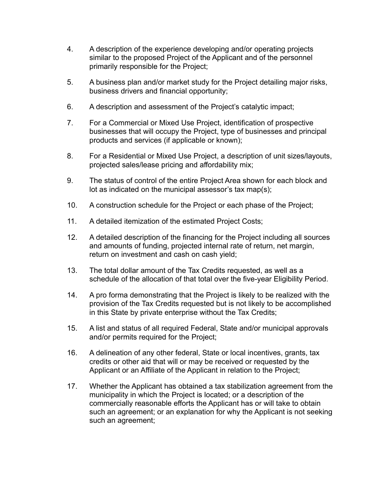- 4. A description of the experience developing and/or operating projects similar to the proposed Project of the Applicant and of the personnel primarily responsible for the Project;
- 5. A business plan and/or market study for the Project detailing major risks, business drivers and financial opportunity;
- 6. A description and assessment of the Project's catalytic impact;
- 7. For a Commercial or Mixed Use Project, identification of prospective businesses that will occupy the Project, type of businesses and principal products and services (if applicable or known);
- 8. For a Residential or Mixed Use Project, a description of unit sizes/layouts, projected sales/lease pricing and affordability mix;
- 9. The status of control of the entire Project Area shown for each block and lot as indicated on the municipal assessor's tax map(s);
- 10. A construction schedule for the Project or each phase of the Project;
- 11. A detailed itemization of the estimated Project Costs;
- 12. A detailed description of the financing for the Project including all sources and amounts of funding, projected internal rate of return, net margin, return on investment and cash on cash yield;
- 13. The total dollar amount of the Tax Credits requested, as well as a schedule of the allocation of that total over the five-year Eligibility Period.
- 14. A pro forma demonstrating that the Project is likely to be realized with the provision of the Tax Credits requested but is not likely to be accomplished in this State by private enterprise without the Tax Credits;
- 15. A list and status of all required Federal, State and/or municipal approvals and/or permits required for the Project;
- 16. A delineation of any other federal, State or local incentives, grants, tax credits or other aid that will or may be received or requested by the Applicant or an Affiliate of the Applicant in relation to the Project;
- 17. Whether the Applicant has obtained a tax stabilization agreement from the municipality in which the Project is located; or a description of the commercially reasonable efforts the Applicant has or will take to obtain such an agreement; or an explanation for why the Applicant is not seeking such an agreement;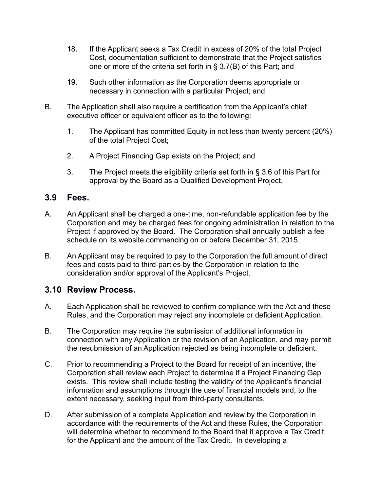- 18. If the Applicant seeks a Tax Credit in excess of 20% of the total Project Cost, documentation sufficient to demonstrate that the Project satisfies one or more of the criteria set forth in § 3.7(B) of this Part; and
- 19. Such other information as the Corporation deems appropriate or necessary in connection with a particular Project; and
- B. The Application shall also require a certification from the Applicant's chief executive officer or equivalent officer as to the following:
	- 1. The Applicant has committed Equity in not less than twenty percent (20%) of the total Project Cost;
	- 2. A Project Financing Gap exists on the Project; and
	- 3. The Project meets the eligibility criteria set forth in § 3.6 of this Part for approval by the Board as a Qualified Development Project.

## **3.9 Fees.**

- A. An Applicant shall be charged a one-time, non-refundable application fee by the Corporation and may be charged fees for ongoing administration in relation to the Project if approved by the Board. The Corporation shall annually publish a fee schedule on its website commencing on or before December 31, 2015.
- B. An Applicant may be required to pay to the Corporation the full amount of direct fees and costs paid to third-parties by the Corporation in relation to the consideration and/or approval of the Applicant's Project.

## **3.10 Review Process.**

- A. Each Application shall be reviewed to confirm compliance with the Act and these Rules, and the Corporation may reject any incomplete or deficient Application.
- B. The Corporation may require the submission of additional information in connection with any Application or the revision of an Application, and may permit the resubmission of an Application rejected as being incomplete or deficient.
- C. Prior to recommending a Project to the Board for receipt of an incentive, the Corporation shall review each Project to determine if a Project Financing Gap exists. This review shall include testing the validity of the Applicant's financial information and assumptions through the use of financial models and, to the extent necessary, seeking input from third-party consultants.
- D. After submission of a complete Application and review by the Corporation in accordance with the requirements of the Act and these Rules, the Corporation will determine whether to recommend to the Board that it approve a Tax Credit for the Applicant and the amount of the Tax Credit. In developing a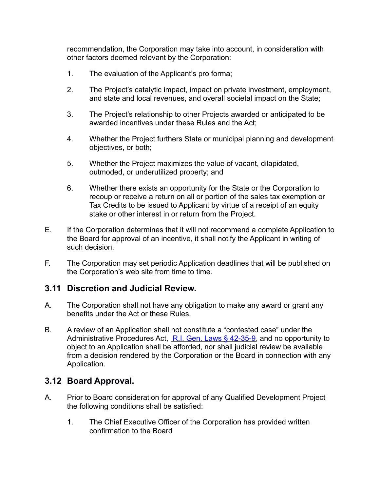recommendation, the Corporation may take into account, in consideration with other factors deemed relevant by the Corporation:

- 1. The evaluation of the Applicant's pro forma;
- 2. The Project's catalytic impact, impact on private investment, employment, and state and local revenues, and overall societal impact on the State;
- 3. The Project's relationship to other Projects awarded or anticipated to be awarded incentives under these Rules and the Act;
- 4. Whether the Project furthers State or municipal planning and development objectives, or both;
- 5. Whether the Project maximizes the value of vacant, dilapidated, outmoded, or underutilized property; and
- 6. Whether there exists an opportunity for the State or the Corporation to recoup or receive a return on all or portion of the sales tax exemption or Tax Credits to be issued to Applicant by virtue of a receipt of an equity stake or other interest in or return from the Project.
- E. If the Corporation determines that it will not recommend a complete Application to the Board for approval of an incentive, it shall notify the Applicant in writing of such decision.
- F. The Corporation may set periodic Application deadlines that will be published on the Corporation's web site from time to time.

## **3.11 Discretion and Judicial Review.**

- A. The Corporation shall not have any obligation to make any award or grant any benefits under the Act or these Rules.
- B. A review of an Application shall not constitute a "contested case" under the Administrative Procedures Act, [R.I. Gen. Laws § 42-35-9,](https://www.lexis.com/research/buttonTFLink?_m=a4361ad1e3dec9e99b61201d54d4d795&_xfercite=%3Ccite%20cc%3D%22USA%22%3E%3C!%5BCDATA%5BCRIR%2007-000-008%5D%5D%3E%3C%2Fcite%3E&_butType=4&_butStat=0&_butNum=8&_butInline=1&_butinfo=RICODE%2042-35-9&_fmtstr=FULL&docnum=1&_startdoc=1&wchp=dGLzVzB-zSkAl&_md5=889a92be76dbb6e5ec23fd44d01d9071) and no opportunity to object to an Application shall be afforded, nor shall judicial review be available from a decision rendered by the Corporation or the Board in connection with any Application.

## **3.12 Board Approval.**

- A. Prior to Board consideration for approval of any Qualified Development Project the following conditions shall be satisfied:
	- 1. The Chief Executive Officer of the Corporation has provided written confirmation to the Board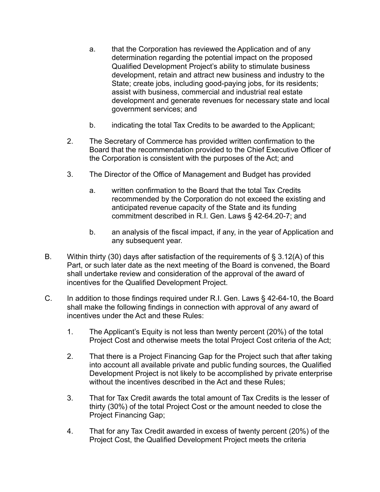- a. that the Corporation has reviewed the Application and of any determination regarding the potential impact on the proposed Qualified Development Project's ability to stimulate business development, retain and attract new business and industry to the State; create jobs, including good-paying jobs, for its residents; assist with business, commercial and industrial real estate development and generate revenues for necessary state and local government services; and
- b. indicating the total Tax Credits to be awarded to the Applicant;
- 2. The Secretary of Commerce has provided written confirmation to the Board that the recommendation provided to the Chief Executive Officer of the Corporation is consistent with the purposes of the Act; and
- 3. The Director of the Office of Management and Budget has provided
	- a. written confirmation to the Board that the total Tax Credits recommended by the Corporation do not exceed the existing and anticipated revenue capacity of the State and its funding commitment described in R.I. Gen. Laws § 42-64.20-7; and
	- b. an analysis of the fiscal impact, if any, in the year of Application and any subsequent year.
- B. Within thirty (30) days after satisfaction of the requirements of § 3.12(A) of this Part, or such later date as the next meeting of the Board is convened, the Board shall undertake review and consideration of the approval of the award of incentives for the Qualified Development Project.
- C. In addition to those findings required under R.I. Gen. Laws § 42-64-10, the Board shall make the following findings in connection with approval of any award of incentives under the Act and these Rules:
	- 1. The Applicant's Equity is not less than twenty percent (20%) of the total Project Cost and otherwise meets the total Project Cost criteria of the Act;
	- 2. That there is a Project Financing Gap for the Project such that after taking into account all available private and public funding sources, the Qualified Development Project is not likely to be accomplished by private enterprise without the incentives described in the Act and these Rules;
	- 3. That for Tax Credit awards the total amount of Tax Credits is the lesser of thirty (30%) of the total Project Cost or the amount needed to close the Project Financing Gap;
	- 4. That for any Tax Credit awarded in excess of twenty percent (20%) of the Project Cost, the Qualified Development Project meets the criteria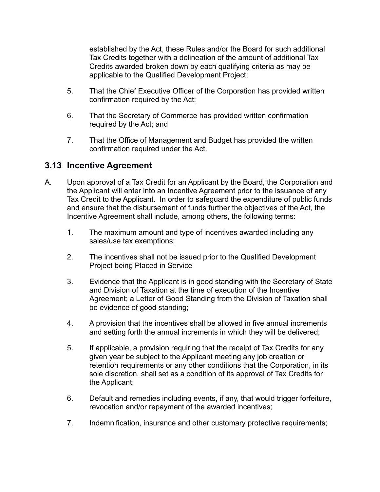established by the Act, these Rules and/or the Board for such additional Tax Credits together with a delineation of the amount of additional Tax Credits awarded broken down by each qualifying criteria as may be applicable to the Qualified Development Project;

- 5. That the Chief Executive Officer of the Corporation has provided written confirmation required by the Act;
- 6. That the Secretary of Commerce has provided written confirmation required by the Act; and
- 7. That the Office of Management and Budget has provided the written confirmation required under the Act.

## **3.13 Incentive Agreement**

- A. Upon approval of a Tax Credit for an Applicant by the Board, the Corporation and the Applicant will enter into an Incentive Agreement prior to the issuance of any Tax Credit to the Applicant. In order to safeguard the expenditure of public funds and ensure that the disbursement of funds further the objectives of the Act, the Incentive Agreement shall include, among others, the following terms:
	- 1. The maximum amount and type of incentives awarded including any sales/use tax exemptions;
	- 2. The incentives shall not be issued prior to the Qualified Development Project being Placed in Service
	- 3. Evidence that the Applicant is in good standing with the Secretary of State and Division of Taxation at the time of execution of the Incentive Agreement; a Letter of Good Standing from the Division of Taxation shall be evidence of good standing;
	- 4. A provision that the incentives shall be allowed in five annual increments and setting forth the annual increments in which they will be delivered;
	- 5. If applicable, a provision requiring that the receipt of Tax Credits for any given year be subject to the Applicant meeting any job creation or retention requirements or any other conditions that the Corporation, in its sole discretion, shall set as a condition of its approval of Tax Credits for the Applicant;
	- 6. Default and remedies including events, if any, that would trigger forfeiture, revocation and/or repayment of the awarded incentives;
	- 7. Indemnification, insurance and other customary protective requirements;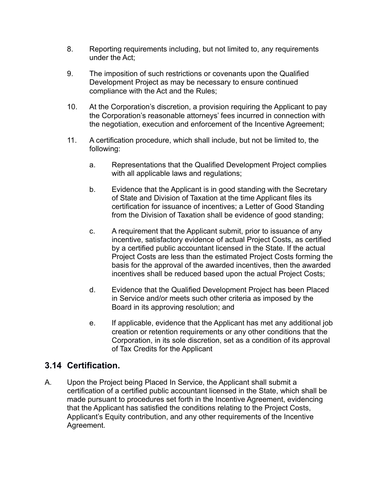- 8. Reporting requirements including, but not limited to, any requirements under the Act;
- 9. The imposition of such restrictions or covenants upon the Qualified Development Project as may be necessary to ensure continued compliance with the Act and the Rules;
- 10. At the Corporation's discretion, a provision requiring the Applicant to pay the Corporation's reasonable attorneys' fees incurred in connection with the negotiation, execution and enforcement of the Incentive Agreement;
- 11. A certification procedure, which shall include, but not be limited to, the following:
	- a. Representations that the Qualified Development Project complies with all applicable laws and regulations;
	- b. Evidence that the Applicant is in good standing with the Secretary of State and Division of Taxation at the time Applicant files its certification for issuance of incentives; a Letter of Good Standing from the Division of Taxation shall be evidence of good standing;
	- c. A requirement that the Applicant submit, prior to issuance of any incentive, satisfactory evidence of actual Project Costs, as certified by a certified public accountant licensed in the State. If the actual Project Costs are less than the estimated Project Costs forming the basis for the approval of the awarded incentives, then the awarded incentives shall be reduced based upon the actual Project Costs;
	- d. Evidence that the Qualified Development Project has been Placed in Service and/or meets such other criteria as imposed by the Board in its approving resolution; and
	- e. If applicable, evidence that the Applicant has met any additional job creation or retention requirements or any other conditions that the Corporation, in its sole discretion, set as a condition of its approval of Tax Credits for the Applicant

## **3.14 Certification.**

A. Upon the Project being Placed In Service, the Applicant shall submit a certification of a certified public accountant licensed in the State, which shall be made pursuant to procedures set forth in the Incentive Agreement, evidencing that the Applicant has satisfied the conditions relating to the Project Costs, Applicant's Equity contribution, and any other requirements of the Incentive Agreement.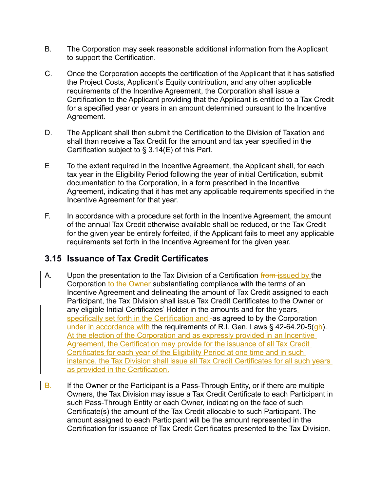- B. The Corporation may seek reasonable additional information from the Applicant to support the Certification.
- C. Once the Corporation accepts the certification of the Applicant that it has satisfied the Project Costs, Applicant's Equity contribution, and any other applicable requirements of the Incentive Agreement, the Corporation shall issue a Certification to the Applicant providing that the Applicant is entitled to a Tax Credit for a specified year or years in an amount determined pursuant to the Incentive Agreement.
- D. The Applicant shall then submit the Certification to the Division of Taxation and shall than receive a Tax Credit for the amount and tax year specified in the Certification subject to § 3.14(E) of this Part.
- E To the extent required in the Incentive Agreement, the Applicant shall, for each tax year in the Eligibility Period following the year of initial Certification, submit documentation to the Corporation, in a form prescribed in the Incentive Agreement, indicating that it has met any applicable requirements specified in the Incentive Agreement for that year.
- F. In accordance with a procedure set forth in the Incentive Agreement, the amount of the annual Tax Credit otherwise available shall be reduced, or the Tax Credit for the given year be entirely forfeited, if the Applicant fails to meet any applicable requirements set forth in the Incentive Agreement for the given year.

# **3.15 Issuance of Tax Credit Certificates**

- A. Upon the presentation to the Tax Division of a Certification from issued by the Corporation to the Owner substantiating compliance with the terms of an Incentive Agreement and delineating the amount of Tax Credit assigned to each Participant, the Tax Division shall issue Tax Credit Certificates to the Owner or any eligible Initial Certificates' Holder in the amounts and for the years specifically set forth in the Certification and -as agreed to by the Corporation under in accordance with the requirements of R.I. Gen. Laws  $\S$  42-64.20-5( $\frac{gh}{gh}$ ). At the election of the Corporation and as expressly provided in an Incentive Agreement, the Certification may provide for the issuance of all Tax Credit Certificates for each year of the Eligibility Period at one time and in such instance, the Tax Division shall issue all Tax Credit Certificates for all such years as provided in the Certification.
- B. If the Owner or the Participant is a Pass-Through Entity, or if there are multiple Owners, the Tax Division may issue a Tax Credit Certificate to each Participant in such Pass-Through Entity or each Owner, indicating on the face of such Certificate(s) the amount of the Tax Credit allocable to such Participant. The amount assigned to each Participant will be the amount represented in the Certification for issuance of Tax Credit Certificates presented to the Tax Division.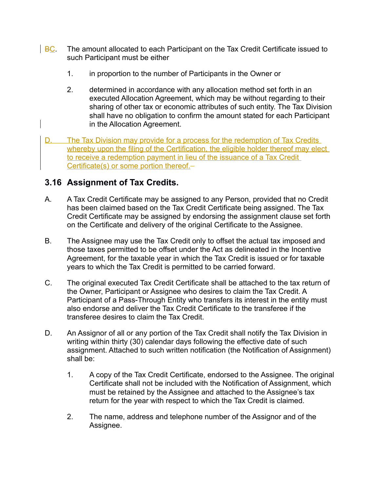- $\overline{B}$  BC. The amount allocated to each Participant on the Tax Credit Certificate issued to such Participant must be either
	- 1. in proportion to the number of Participants in the Owner or
	- 2. determined in accordance with any allocation method set forth in an executed Allocation Agreement, which may be without regarding to their sharing of other tax or economic attributes of such entity. The Tax Division shall have no obligation to confirm the amount stated for each Participant in the Allocation Agreement.
- D. The Tax Division may provide for a process for the redemption of Tax Credits whereby upon the filing of the Certification, the eligible holder thereof may elect to receive a redemption payment in lieu of the issuance of a Tax Credit Certificate(s) or some portion thereof.

## **3.16 Assignment of Tax Credits.**

- A. A Tax Credit Certificate may be assigned to any Person, provided that no Credit has been claimed based on the Tax Credit Certificate being assigned. The Tax Credit Certificate may be assigned by endorsing the assignment clause set forth on the Certificate and delivery of the original Certificate to the Assignee.
- B. The Assignee may use the Tax Credit only to offset the actual tax imposed and those taxes permitted to be offset under the Act as delineated in the Incentive Agreement, for the taxable year in which the Tax Credit is issued or for taxable years to which the Tax Credit is permitted to be carried forward.
- C. The original executed Tax Credit Certificate shall be attached to the tax return of the Owner, Participant or Assignee who desires to claim the Tax Credit. A Participant of a Pass-Through Entity who transfers its interest in the entity must also endorse and deliver the Tax Credit Certificate to the transferee if the transferee desires to claim the Tax Credit.
- D. An Assignor of all or any portion of the Tax Credit shall notify the Tax Division in writing within thirty (30) calendar days following the effective date of such assignment. Attached to such written notification (the Notification of Assignment) shall be:
	- 1. A copy of the Tax Credit Certificate, endorsed to the Assignee. The original Certificate shall not be included with the Notification of Assignment, which must be retained by the Assignee and attached to the Assignee's tax return for the year with respect to which the Tax Credit is claimed.
	- 2. The name, address and telephone number of the Assignor and of the Assignee.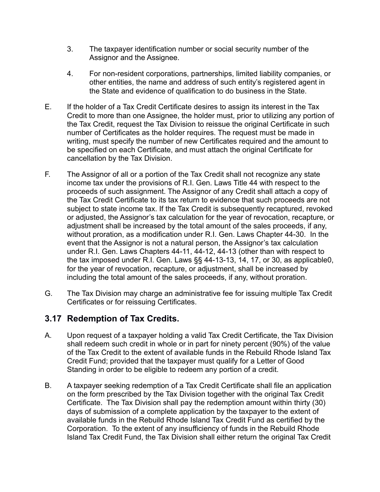- 3. The taxpayer identification number or social security number of the Assignor and the Assignee.
- 4. For non-resident corporations, partnerships, limited liability companies, or other entities, the name and address of such entity's registered agent in the State and evidence of qualification to do business in the State.
- E. If the holder of a Tax Credit Certificate desires to assign its interest in the Tax Credit to more than one Assignee, the holder must, prior to utilizing any portion of the Tax Credit, request the Tax Division to reissue the original Certificate in such number of Certificates as the holder requires. The request must be made in writing, must specify the number of new Certificates required and the amount to be specified on each Certificate, and must attach the original Certificate for cancellation by the Tax Division.
- F. The Assignor of all or a portion of the Tax Credit shall not recognize any state income tax under the provisions of R.I. Gen. Laws Title 44 with respect to the proceeds of such assignment. The Assignor of any Credit shall attach a copy of the Tax Credit Certificate to its tax return to evidence that such proceeds are not subject to state income tax. If the Tax Credit is subsequently recaptured, revoked or adjusted, the Assignor's tax calculation for the year of revocation, recapture, or adjustment shall be increased by the total amount of the sales proceeds, if any, without proration, as a modification under R.I. Gen. Laws Chapter 44-30. In the event that the Assignor is not a natural person, the Assignor's tax calculation under R.I. Gen. Laws Chapters 44-11, 44-12, 44-13 (other than with respect to the tax imposed under R.I. Gen. Laws §§ 44-13-13, 14, 17, or 30, as applicable0, for the year of revocation, recapture, or adjustment, shall be increased by including the total amount of the sales proceeds, if any, without proration.
- G. The Tax Division may charge an administrative fee for issuing multiple Tax Credit Certificates or for reissuing Certificates.

## **3.17 Redemption of Tax Credits.**

- A. Upon request of a taxpayer holding a valid Tax Credit Certificate, the Tax Division shall redeem such credit in whole or in part for ninety percent (90%) of the value of the Tax Credit to the extent of available funds in the Rebuild Rhode Island Tax Credit Fund; provided that the taxpayer must qualify for a Letter of Good Standing in order to be eligible to redeem any portion of a credit.
- B. A taxpayer seeking redemption of a Tax Credit Certificate shall file an application on the form prescribed by the Tax Division together with the original Tax Credit Certificate. The Tax Division shall pay the redemption amount within thirty (30) days of submission of a complete application by the taxpayer to the extent of available funds in the Rebuild Rhode Island Tax Credit Fund as certified by the Corporation. To the extent of any insufficiency of funds in the Rebuild Rhode Island Tax Credit Fund, the Tax Division shall either return the original Tax Credit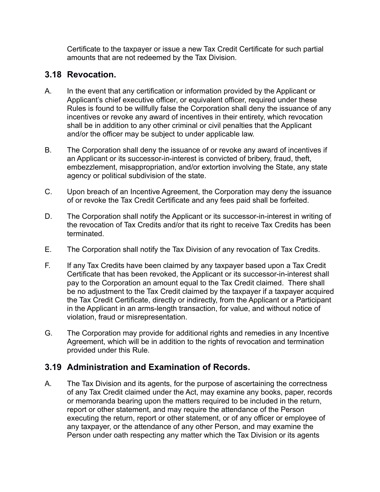Certificate to the taxpayer or issue a new Tax Credit Certificate for such partial amounts that are not redeemed by the Tax Division.

## **3.18 Revocation.**

- A. In the event that any certification or information provided by the Applicant or Applicant's chief executive officer, or equivalent officer, required under these Rules is found to be willfully false the Corporation shall deny the issuance of any incentives or revoke any award of incentives in their entirety, which revocation shall be in addition to any other criminal or civil penalties that the Applicant and/or the officer may be subject to under applicable law.
- B. The Corporation shall deny the issuance of or revoke any award of incentives if an Applicant or its successor-in-interest is convicted of bribery, fraud, theft, embezzlement, misappropriation, and/or extortion involving the State, any state agency or political subdivision of the state.
- C. Upon breach of an Incentive Agreement, the Corporation may deny the issuance of or revoke the Tax Credit Certificate and any fees paid shall be forfeited.
- D. The Corporation shall notify the Applicant or its successor-in-interest in writing of the revocation of Tax Credits and/or that its right to receive Tax Credits has been terminated.
- E. The Corporation shall notify the Tax Division of any revocation of Tax Credits.
- F. If any Tax Credits have been claimed by any taxpayer based upon a Tax Credit Certificate that has been revoked, the Applicant or its successor-in-interest shall pay to the Corporation an amount equal to the Tax Credit claimed. There shall be no adjustment to the Tax Credit claimed by the taxpayer if a taxpayer acquired the Tax Credit Certificate, directly or indirectly, from the Applicant or a Participant in the Applicant in an arms-length transaction, for value, and without notice of violation, fraud or misrepresentation.
- G. The Corporation may provide for additional rights and remedies in any Incentive Agreement, which will be in addition to the rights of revocation and termination provided under this Rule.

# **3.19 Administration and Examination of Records.**

A. The Tax Division and its agents, for the purpose of ascertaining the correctness of any Tax Credit claimed under the Act, may examine any books, paper, records or memoranda bearing upon the matters required to be included in the return, report or other statement, and may require the attendance of the Person executing the return, report or other statement, or of any officer or employee of any taxpayer, or the attendance of any other Person, and may examine the Person under oath respecting any matter which the Tax Division or its agents